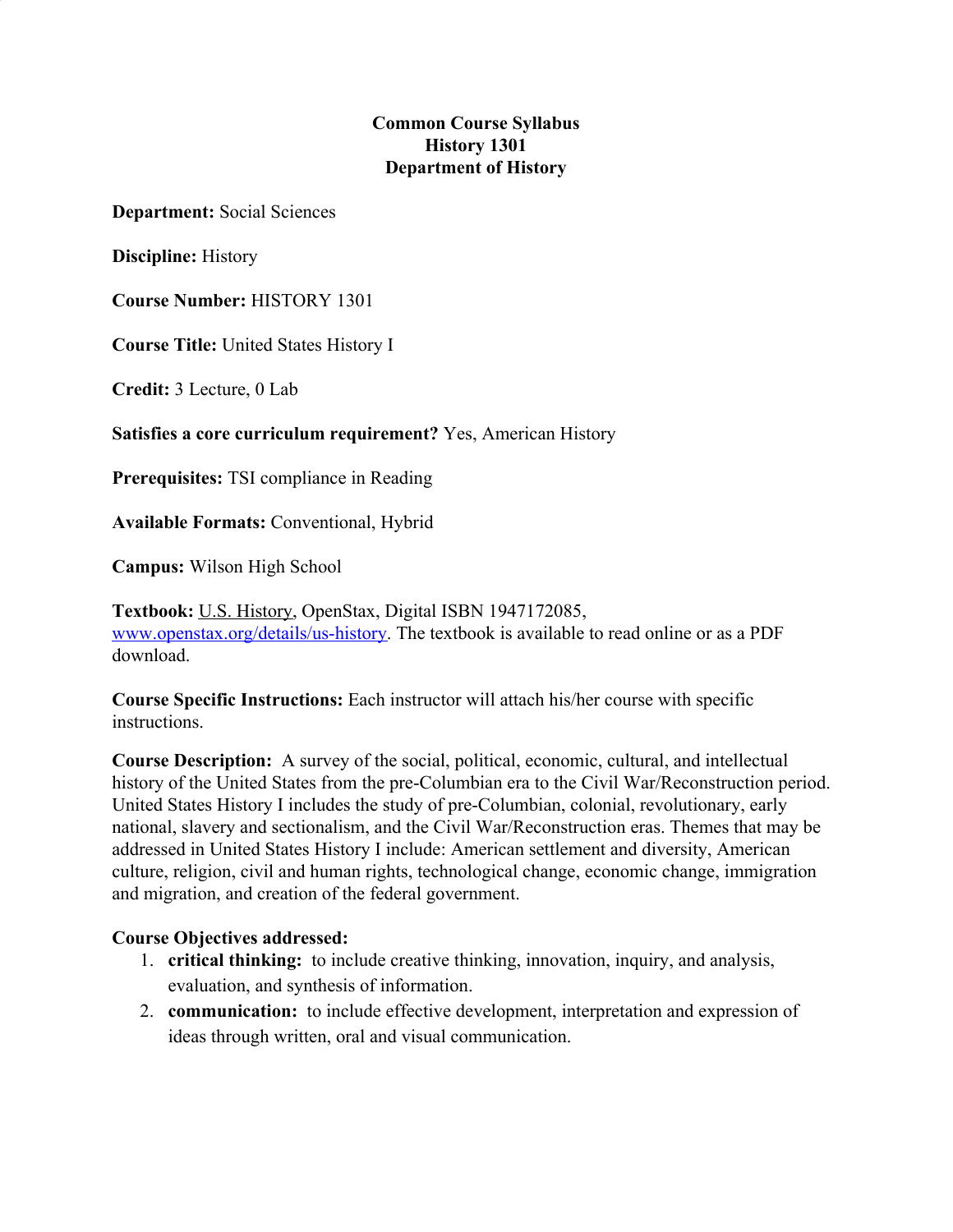### **Common Course Syllabus History 1301 Department of History**

**Department:** Social Sciences

**Discipline:** History

**Course Number:** HISTORY 1301

**Course Title:** United States History I

**Credit:** 3 Lecture, 0 Lab

**Satisfies a core curriculum requirement?** Yes, American History

**Prerequisites:** TSI compliance in Reading

**Available Formats:** Conventional, Hybrid

**Campus:** Wilson High School

**Textbook:** U.S. History, OpenStax, Digital ISBN 1947172085, [www.openstax.org/details/us-history.](http://www.openstax.org/details/us-history) The textbook is available to read online or as a PDF download.

**Course Specific Instructions:** Each instructor will attach his/her course with specific instructions.

**Course Description:** A survey of the social, political, economic, cultural, and intellectual history of the United States from the pre-Columbian era to the Civil War/Reconstruction period. United States History I includes the study of pre-Columbian, colonial, revolutionary, early national, slavery and sectionalism, and the Civil War/Reconstruction eras. Themes that may be addressed in United States History I include: American settlement and diversity, American culture, religion, civil and human rights, technological change, economic change, immigration and migration, and creation of the federal government.

#### **Course Objectives addressed:**

- 1. **critical thinking:** to include creative thinking, innovation, inquiry, and analysis, evaluation, and synthesis of information.
- 2. **communication:** to include effective development, interpretation and expression of ideas through written, oral and visual communication.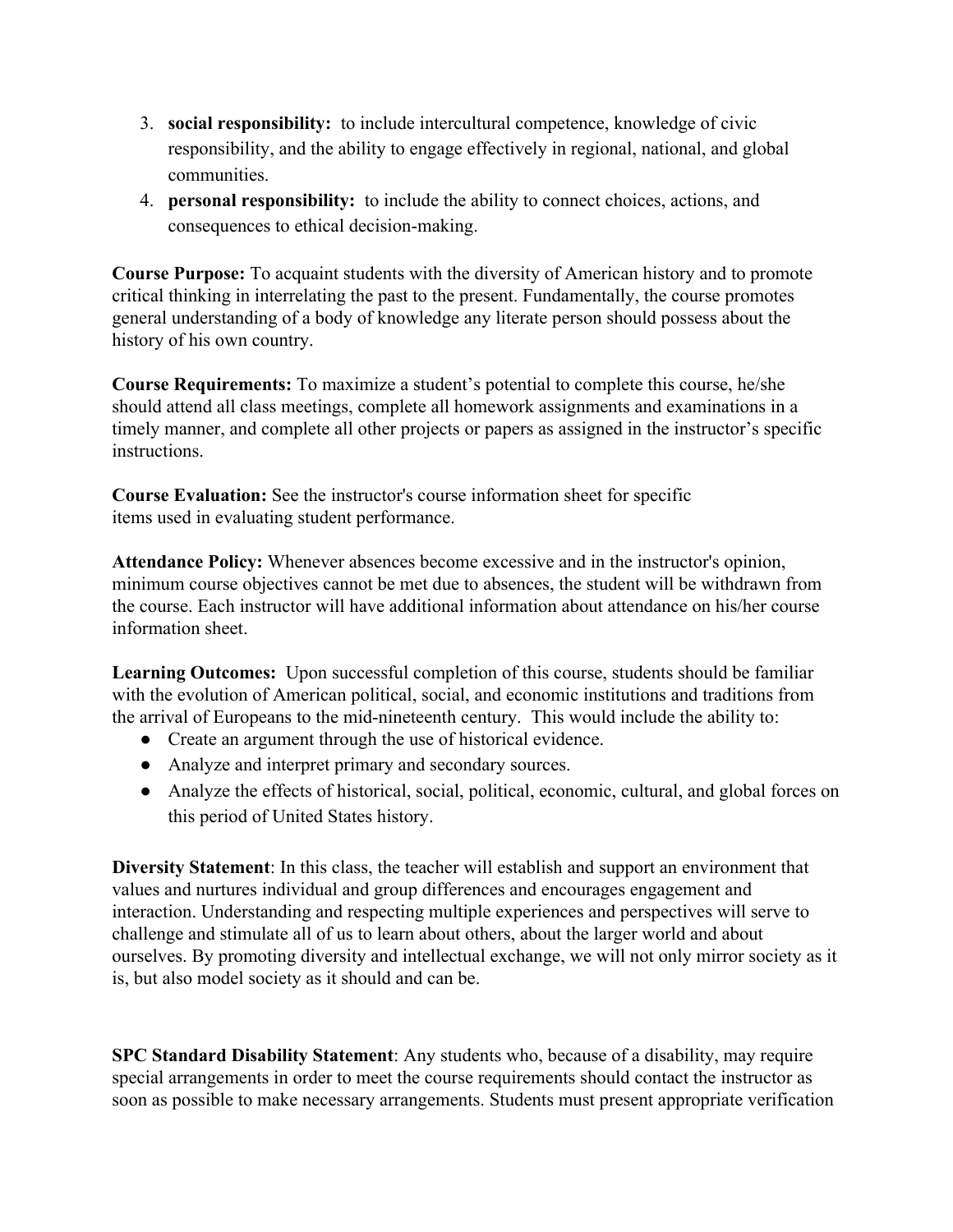- 3. **social responsibility:** to include intercultural competence, knowledge of civic responsibility, and the ability to engage effectively in regional, national, and global communities.
- 4. **personal responsibility:** to include the ability to connect choices, actions, and consequences to ethical decision-making.

**Course Purpose:** To acquaint students with the diversity of American history and to promote critical thinking in interrelating the past to the present. Fundamentally, the course promotes general understanding of a body of knowledge any literate person should possess about the history of his own country.

**Course Requirements:** To maximize a student's potential to complete this course, he/she should attend all class meetings, complete all homework assignments and examinations in a timely manner, and complete all other projects or papers as assigned in the instructor's specific **instructions** 

**Course Evaluation:** See the instructor's course information sheet for specific items used in evaluating student performance.

**Attendance Policy:** Whenever absences become excessive and in the instructor's opinion, minimum course objectives cannot be met due to absences, the student will be withdrawn from the course. Each instructor will have additional information about attendance on his/her course information sheet.

**Learning Outcomes:** Upon successful completion of this course, students should be familiar with the evolution of American political, social, and economic institutions and traditions from the arrival of Europeans to the mid-nineteenth century. This would include the ability to:

- Create an argument through the use of historical evidence.
- Analyze and interpret primary and secondary sources.
- Analyze the effects of historical, social, political, economic, cultural, and global forces on this period of United States history.

**Diversity Statement**: In this class, the teacher will establish and support an environment that values and nurtures individual and group differences and encourages engagement and interaction. Understanding and respecting multiple experiences and perspectives will serve to challenge and stimulate all of us to learn about others, about the larger world and about ourselves. By promoting diversity and intellectual exchange, we will not only mirror society as it is, but also model society as it should and can be.

**SPC Standard Disability Statement**: Any students who, because of a disability, may require special arrangements in order to meet the course requirements should contact the instructor as soon as possible to make necessary arrangements. Students must present appropriate verification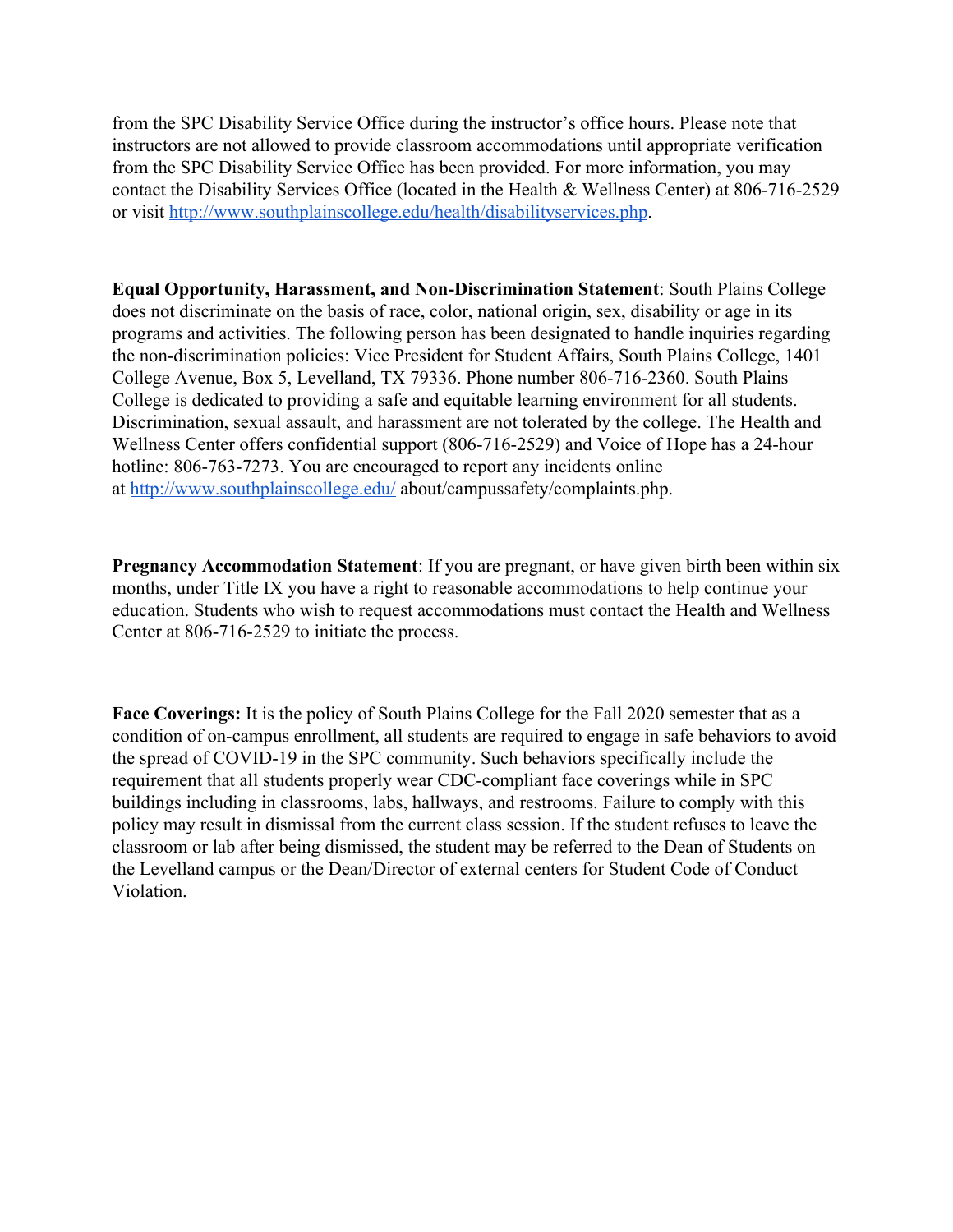from the SPC Disability Service Office during the instructor's office hours. Please note that instructors are not allowed to provide classroom accommodations until appropriate verification from the SPC Disability Service Office has been provided. For more information, you may contact the Disability Services Office (located in the Health & Wellness Center) at 806-716-2529 or visit <http://www.southplainscollege.edu/health/disabilityservices.php>.

**Equal Opportunity, Harassment, and Non-Discrimination Statement**: South Plains College does not discriminate on the basis of race, color, national origin, sex, disability or age in its programs and activities. The following person has been designated to handle inquiries regarding the non-discrimination policies: Vice President for Student Affairs, South Plains College, 1401 College Avenue, Box 5, Levelland, TX 79336. Phone number 806-716-2360. South Plains College is dedicated to providing a safe and equitable learning environment for all students. Discrimination, sexual assault, and harassment are not tolerated by the college. The Health and Wellness Center offers confidential support (806-716-2529) and Voice of Hope has a 24-hour hotline: 806-763-7273. You are encouraged to report any incidents online at <http://www.southplainscollege.edu/> about/campussafety/complaints.php.

**Pregnancy Accommodation Statement**: If you are pregnant, or have given birth been within six months, under Title IX you have a right to reasonable accommodations to help continue your education. Students who wish to request accommodations must contact the Health and Wellness Center at 806-716-2529 to initiate the process.

**Face Coverings:** It is the policy of South Plains College for the Fall 2020 semester that as a condition of on-campus enrollment, all students are required to engage in safe behaviors to avoid the spread of COVID-19 in the SPC community. Such behaviors specifically include the requirement that all students properly wear CDC-compliant face coverings while in SPC buildings including in classrooms, labs, hallways, and restrooms. Failure to comply with this policy may result in dismissal from the current class session. If the student refuses to leave the classroom or lab after being dismissed, the student may be referred to the Dean of Students on the Levelland campus or the Dean/Director of external centers for Student Code of Conduct Violation.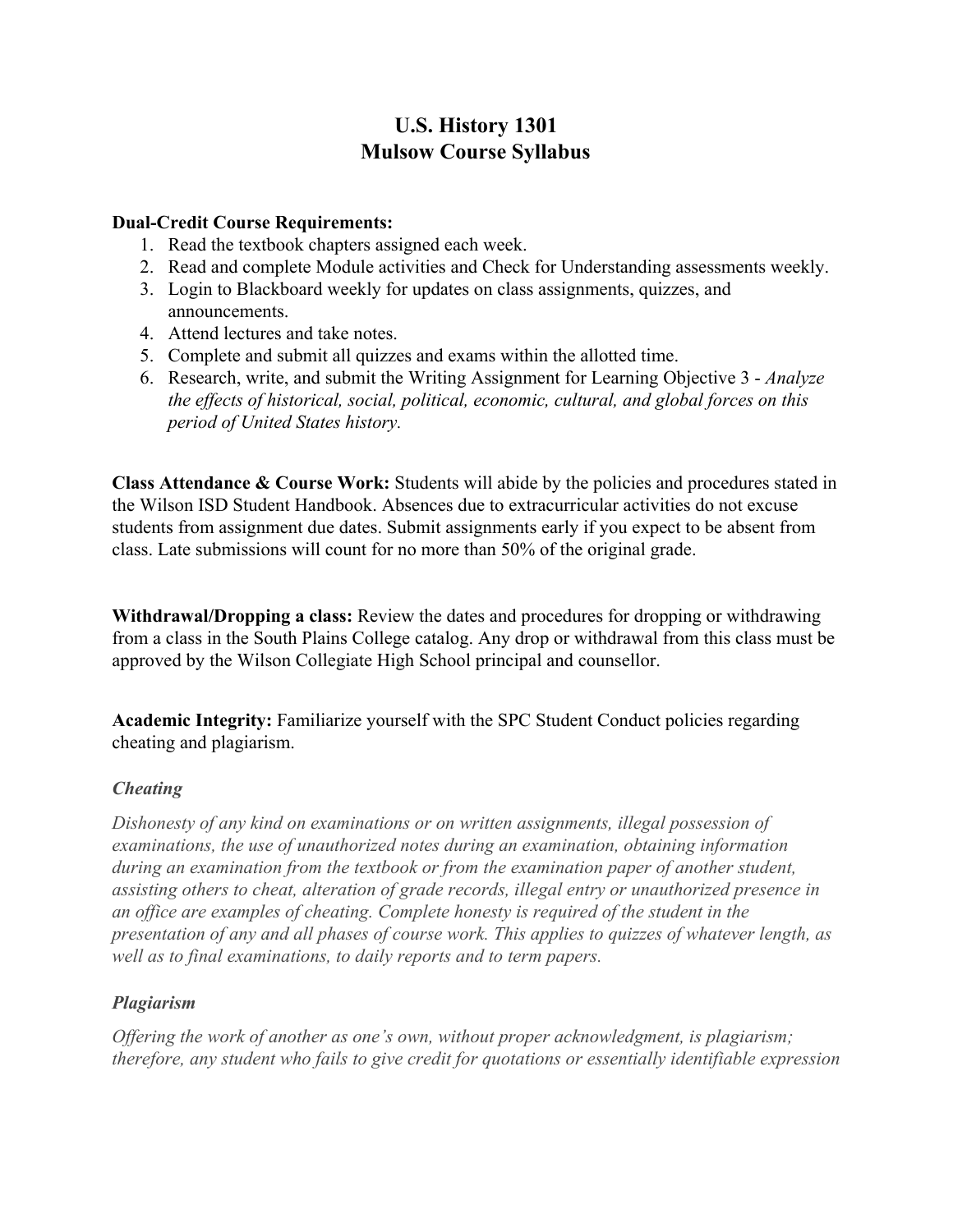## **U.S. History 1301 Mulsow Course Syllabus**

#### **Dual-Credit Course Requirements:**

- 1. Read the textbook chapters assigned each week.
- 2. Read and complete Module activities and Check for Understanding assessments weekly.
- 3. Login to Blackboard weekly for updates on class assignments, quizzes, and announcements.
- 4. Attend lectures and take notes.
- 5. Complete and submit all quizzes and exams within the allotted time.
- 6. Research, write, and submit the Writing Assignment for Learning Objective 3 *Analyze the effects of historical, social, political, economic, cultural, and global forces on this period of United States history.*

**Class Attendance & Course Work:** Students will abide by the policies and procedures stated in the Wilson ISD Student Handbook. Absences due to extracurricular activities do not excuse students from assignment due dates. Submit assignments early if you expect to be absent from class. Late submissions will count for no more than 50% of the original grade.

**Withdrawal/Dropping a class:** Review the dates and procedures for dropping or withdrawing from a class in the South Plains College catalog. Any drop or withdrawal from this class must be approved by the Wilson Collegiate High School principal and counsellor.

**Academic Integrity:** Familiarize yourself with the SPC Student Conduct policies regarding cheating and plagiarism.

#### *Cheating*

*Dishonesty of any kind on examinations or on written assignments, illegal possession of examinations, the use of unauthorized notes during an examination, obtaining information during an examination from the textbook or from the examination paper of another student, assisting others to cheat, alteration of grade records, illegal entry or unauthorized presence in an office are examples of cheating. Complete honesty is required of the student in the presentation of any and all phases of course work. This applies to quizzes of whatever length, as well as to final examinations, to daily reports and to term papers.*

## *Plagiarism*

*Offering the work of another as one's own, without proper acknowledgment, is plagiarism; therefore, any student who fails to give credit for quotations or essentially identifiable expression*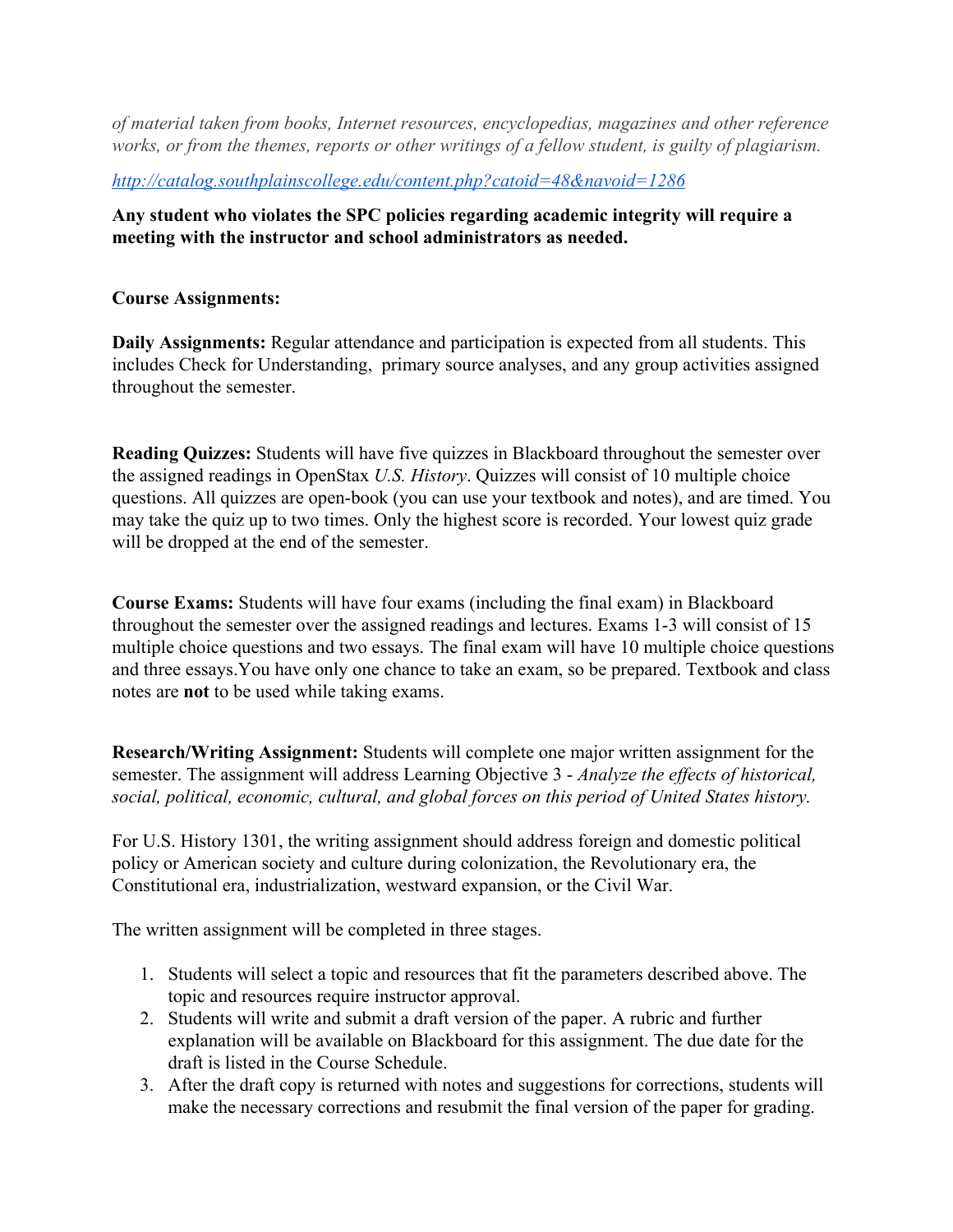*of material taken from books, Internet resources, encyclopedias, magazines and other reference works, or from the themes, reports or other writings of a fellow student, is guilty of plagiarism.*

#### *<http://catalog.southplainscollege.edu/content.php?catoid=48&navoid=1286>*

### **Any student who violates the SPC policies regarding academic integrity will require a meeting with the instructor and school administrators as needed.**

#### **Course Assignments:**

**Daily Assignments:** Regular attendance and participation is expected from all students. This includes Check for Understanding, primary source analyses, and any group activities assigned throughout the semester.

**Reading Quizzes:** Students will have five quizzes in Blackboard throughout the semester over the assigned readings in OpenStax *U.S. History*. Quizzes will consist of 10 multiple choice questions. All quizzes are open-book (you can use your textbook and notes), and are timed. You may take the quiz up to two times. Only the highest score is recorded. Your lowest quiz grade will be dropped at the end of the semester.

**Course Exams:** Students will have four exams (including the final exam) in Blackboard throughout the semester over the assigned readings and lectures. Exams 1-3 will consist of 15 multiple choice questions and two essays. The final exam will have 10 multiple choice questions and three essays.You have only one chance to take an exam, so be prepared. Textbook and class notes are **not** to be used while taking exams.

**Research/Writing Assignment:** Students will complete one major written assignment for the semester. The assignment will address Learning Objective 3 - *Analyze the effects of historical, social, political, economic, cultural, and global forces on this period of United States history.*

For U.S. History 1301, the writing assignment should address foreign and domestic political policy or American society and culture during colonization, the Revolutionary era, the Constitutional era, industrialization, westward expansion, or the Civil War.

The written assignment will be completed in three stages.

- 1. Students will select a topic and resources that fit the parameters described above. The topic and resources require instructor approval.
- 2. Students will write and submit a draft version of the paper. A rubric and further explanation will be available on Blackboard for this assignment. The due date for the draft is listed in the Course Schedule.
- 3. After the draft copy is returned with notes and suggestions for corrections, students will make the necessary corrections and resubmit the final version of the paper for grading.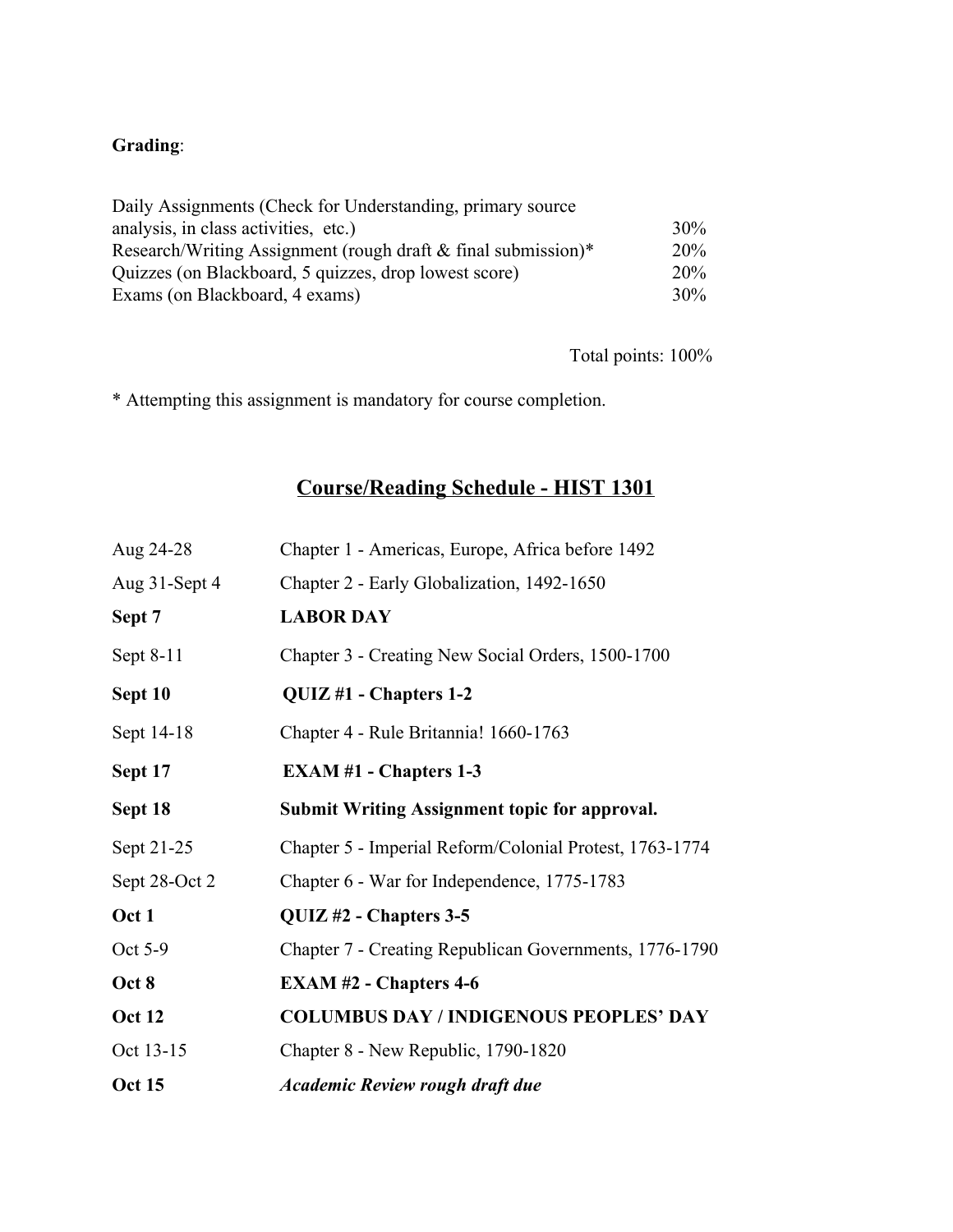# **Grading**:

| Daily Assignments (Check for Understanding, primary source)   |        |
|---------------------------------------------------------------|--------|
| analysis, in class activities, etc.)                          | $30\%$ |
| Research/Writing Assignment (rough draft & final submission)* | $20\%$ |
| Quizzes (on Blackboard, 5 quizzes, drop lowest score)         |        |
| Exams (on Blackboard, 4 exams)                                | $30\%$ |

Total points: 100%

\* Attempting this assignment is mandatory for course completion.

# **Course/Reading Schedule - HIST 1301**

| Aug 24-28     | Chapter 1 - Americas, Europe, Africa before 1492        |  |
|---------------|---------------------------------------------------------|--|
| Aug 31-Sept 4 | Chapter 2 - Early Globalization, 1492-1650              |  |
| Sept 7        | <b>LABOR DAY</b>                                        |  |
| Sept 8-11     | Chapter 3 - Creating New Social Orders, 1500-1700       |  |
| Sept 10       | QUIZ #1 - Chapters 1-2                                  |  |
| Sept 14-18    | Chapter 4 - Rule Britannia! 1660-1763                   |  |
| Sept 17       | <b>EXAM #1 - Chapters 1-3</b>                           |  |
| Sept 18       | <b>Submit Writing Assignment topic for approval.</b>    |  |
| Sept 21-25    | Chapter 5 - Imperial Reform/Colonial Protest, 1763-1774 |  |
| Sept 28-Oct 2 | Chapter 6 - War for Independence, 1775-1783             |  |
| Oct 1         | QUIZ #2 - Chapters 3-5                                  |  |
| Oct 5-9       | Chapter 7 - Creating Republican Governments, 1776-1790  |  |
| Oct 8         | <b>EXAM #2 - Chapters 4-6</b>                           |  |
| <b>Oct 12</b> | <b>COLUMBUS DAY / INDIGENOUS PEOPLES' DAY</b>           |  |
| Oct 13-15     | Chapter 8 - New Republic, 1790-1820                     |  |
| <b>Oct 15</b> | <b>Academic Review rough draft due</b>                  |  |